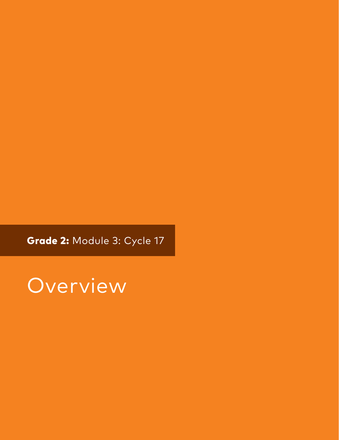Grade 2: Module 3: Cycle 17

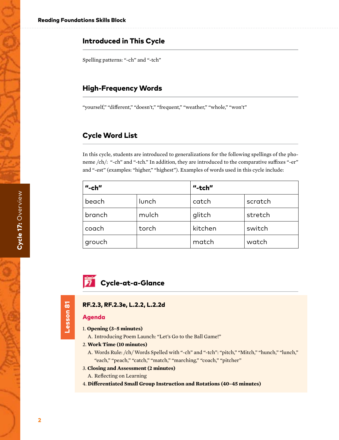# Introduced in This Cycle

Spelling patterns: "-ch" and "-tch"

# High-Frequency Words

"yourself," "different," "doesn't," "frequent," "weather," "whole," "won't"

# Cycle Word List

In this cycle, students are introduced to generalizations for the following spellings of the phoneme /ch/: "-ch" and "-tch." In addition, they are introduced to the comparative suffixes "-er" and "-est" (examples: "higher," "highest"). Examples of words used in this cycle include:

| $"$ -ch $"$ |       | "-tch"  |         |
|-------------|-------|---------|---------|
| beach       | lunch | catch   | scratch |
| branch      | mulch | glitch  | stretch |
| coach       | torch | kitchen | switch  |
| ' grouch    |       | match   | watch   |

# **7** Cycle-at-a-Glance

# Lesson 81 Lesson 81

# RF.2.3, RF.2.3e, L.2.2, L.2.2d

# Agenda

- 1. **Opening (3–5 minutes)**
	- A. Introducing Poem Launch: "Let's Go to the Ball Game!"

#### 2. **Work Time (10 minutes)**

A. Words Rule: /ch/ Words Spelled with "-ch" and "-tch": "pitch," "Mitch," "hunch," "lunch," "each," "peach," "catch," "match," "marching," "coach," "pitcher"

#### 3. **Closing and Assessment (2 minutes)**

- A. Reflecting on Learning
- 4. **Differentiated Small Group Instruction and Rotations (40–45 minutes)**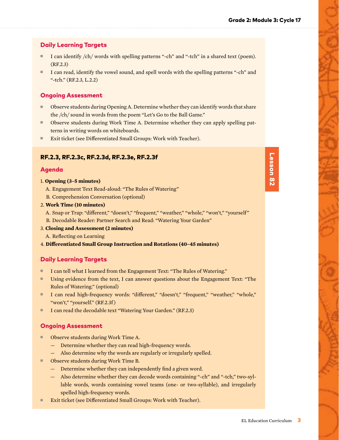# Daily Learning Targets

- I can identify /ch/ words with spelling patterns "-ch" and "-tch" in a shared text (poem). (RF.2.3)
- I can read, identify the vowel sound, and spell words with the spelling patterns "-ch" and "-tch." (RF.2.3, L.2.2)

# Ongoing Assessment

- Observe students during Opening A. Determine whether they can identify words that share the /ch/ sound in words from the poem "Let's Go to the Ball Game."
- Observe students during Work Time A. Determine whether they can apply spelling patterns in writing words on whiteboards.
- Exit ticket (see Differentiated Small Groups: Work with Teacher).

# RF.2.3, RF.2.3c, RF.2.3d, RF.2.3e, RF.2.3f

### Agenda

#### 1. **Opening (3–5 minutes)**

- A. Engagement Text Read-aloud: "The Rules of Watering"
- B. Comprehension Conversation (optional)
- 2. **Work Time (10 minutes)**

A. Snap or Trap: "different," "doesn't," "frequent," "weather," "whole," "won't," "yourself" B. Decodable Reader: Partner Search and Read: "Watering Your Garden"

3. **Closing and Assessment (2 minutes)**

A. Reflecting on Learning

4. **Differentiated Small Group Instruction and Rotations (40–45 minutes)**

# Daily Learning Targets

- I can tell what I learned from the Engagement Text: "The Rules of Watering."
- Using evidence from the text, I can answer questions about the Engagement Text: "The Rules of Watering." (optional)
- I can read high-frequency words: "different," "doesn't," "frequent," "weather," "whole," "won't," "yourself." (RF.2.3f )
- I can read the decodable text "Watering Your Garden." (RF.2.3)

# Ongoing Assessment

- Observe students during Work Time A.
	- Determine whether they can read high-frequency words.
	- Also determine why the words are regularly or irregularly spelled.
- Observe students during Work Time B.
	- Determine whether they can independently find a given word.
	- Also determine whether they can decode words containing "-ch" and "-tch," two-syllable words, words containing vowel teams (one- or two-syllable), and irregularly spelled high-frequency words.
- Exit ticket (see Differentiated Small Groups: Work with Teacher).

|                                                                                                                       | п |  |
|-----------------------------------------------------------------------------------------------------------------------|---|--|
|                                                                                                                       |   |  |
|                                                                                                                       |   |  |
|                                                                                                                       |   |  |
|                                                                                                                       |   |  |
| <b>Contract Contract Contract Contract Contract Contract Contract Contract Contract Contract Contract Contract Co</b> |   |  |
|                                                                                                                       |   |  |
|                                                                                                                       | ī |  |
|                                                                                                                       |   |  |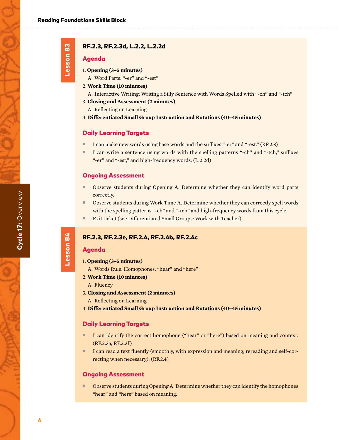Lesson 83

Lesson 83

# RF.2.3, RF.2.3d, L.2.2, L.2.2d

#### Agenda

- 1. **Opening (3–5 minutes)**
	- A. Word Parts: "-er" and "-est"
- 2. **Work Time (10 minutes)**
	- A. Interactive Writing: Writing a Silly Sentence with Words Spelled with "-ch" and "-tch"
- 3. **Closing and Assessment (2 minutes)**
- A. Reflecting on Learning
- 4. **Differentiated Small Group Instruction and Rotations (40–45 minutes)**

#### Daily Learning Targets

- I can make new words using base words and the suffixes "-er" and "-est." (RF.2.3)
- I can write a sentence using words with the spelling patterns "-ch" and "-tch," suffixes "-er" and "-est," and high-frequency words. (L.2.2d)

#### Ongoing Assessment

- Observe students during Opening A. Determine whether they can identify word parts correctly.
- Observe students during Work Time A. Determine whether they can correctly spell words with the spelling patterns "-ch" and "-tch" and high-frequency words from this cycle.
- Exit ticket (see Differentiated Small Groups: Work with Teacher).

#### RF.2.3, RF.2.3e, RF.2.4, RF.2.4b, RF.2.4c

#### Agenda

Lesson 84

Lesson 84

- 1. **Opening (3–5 minutes)**
	- A. Words Rule: Homophones: "hear" and "here"
- 2. **Work Time (10 minutes)**
- A. Fluency
- 3. **Closing and Assessment (2 minutes)**
	- A. Reflecting on Learning
- 4. **Differentiated Small Group Instruction and Rotations (40–45 minutes)**

#### Daily Learning Targets

- I can identify the correct homophone ("hear" or "here") based on meaning and context. (RF.2.3a, RF.2.3f )
- I can read a text fluently (smoothly, with expression and meaning, rereading and self-correcting when necessary). (RF.2.4)

#### Ongoing Assessment

■ Observe students during Opening A. Determine whether they can identify the homophones "hear" and "here" based on meaning.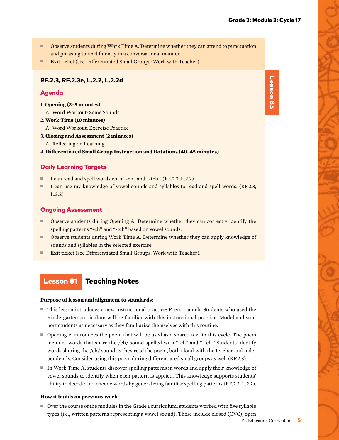- Observe students during Work Time A. Determine whether they can attend to punctuation and phrasing to read fluently in a conversational manner.
- Exit ticket (see Differentiated Small Groups: Work with Teacher).

#### RF.2.3, RF.2.3e, L.2.2, L.2.2d

#### Agenda

- 1. **Opening (3–5 minutes)**
	- A. Word Workout: Same Sounds
- 2. **Work Time (10 minutes)**
- A. Word Workout: Exercise Practice
- 3. **Closing and Assessment (2 minutes)**
- A. Reflecting on Learning
- 4. **Differentiated Small Group Instruction and Rotations (40–45 minutes)**

#### Daily Learning Targets

- I can read and spell words with "-ch" and "-tch." (RF.2.3, L.2.2)
- I can use my knowledge of vowel sounds and syllables to read and spell words. (RF.2.3, L.2.2)

#### Ongoing Assessment

- Observe students during Opening A. Determine whether they can correctly identify the spelling patterns "-ch" and "-tch" based on vowel sounds.
- Observe students during Work Time A. Determine whether they can apply knowledge of sounds and syllables in the selected exercise.
- Exit ticket (see Differentiated Small Groups: Work with Teacher).

# Lesson 81 Teaching Notes

#### **Purpose of lesson and alignment to standards:**

- This lesson introduces a new instructional practice: Poem Launch. Students who used the Kindergarten curriculum will be familiar with this instructional practice. Model and support students as necessary as they familiarize themselves with this routine.
- Opening A introduces the poem that will be used as a shared text in this cycle. The poem includes words that share the /ch/ sound spelled with "-ch" and "-tch." Students identify words sharing the /ch/ sound as they read the poem, both aloud with the teacher and independently. Consider using this poem during differentiated small groups as well (RF.2.3).
- In Work Time A, students discover spelling patterns in words and apply their knowledge of vowel sounds to identify when each pattern is applied. This knowledge supports students' ability to decode and encode words by generalizing familiar spelling patterns (RF.2.3, L.2.2).

#### **How it builds on previous work:**

■ Over the course of the modules in the Grade 1 curriculum, students worked with five syllable types (i.e., written patterns representing a vowel sound). These include closed (CVC), open Lesson 85 Lesson 85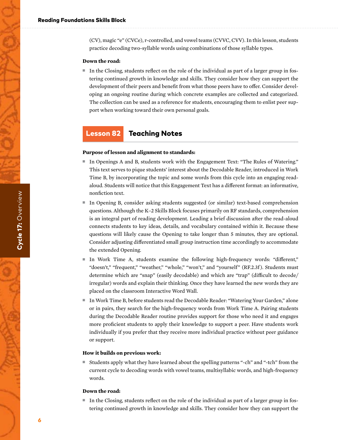(CV), magic "e" (CVCe), r-controlled, and vowel teams (CVVC, CVV). In this lesson, students practice decoding two-syllable words using combinations of those syllable types.

#### **Down the road:**

■ In the Closing, students reflect on the role of the individual as part of a larger group in fostering continued growth in knowledge and skills. They consider how they can support the development of their peers and benefit from what those peers have to offer. Consider developing an ongoing routine during which concrete examples are collected and categorized. The collection can be used as a reference for students, encouraging them to enlist peer support when working toward their own personal goals.

# Lesson 82 Teaching Notes

#### **Purpose of lesson and alignment to standards:**

- In Openings A and B, students work with the Engagement Text: "The Rules of Watering." This text serves to pique students' interest about the Decodable Reader, introduced in Work Time B, by incorporating the topic and some words from this cycle into an engaging readaloud. Students will notice that this Engagement Text has a different format: an informative, nonfiction text.
- In Opening B, consider asking students suggested (or similar) text-based comprehension questions. Although the K–2 Skills Block focuses primarily on RF standards, comprehension is an integral part of reading development. Leading a brief discussion after the read-aloud connects students to key ideas, details, and vocabulary contained within it. Because these questions will likely cause the Opening to take longer than 5 minutes, they are optional. Consider adjusting differentiated small group instruction time accordingly to accommodate the extended Opening.
- In Work Time A, students examine the following high-frequency words: "different," "doesn't," "frequent," "weather," "whole," "won't," and "yourself" (RF.2.3f). Students must determine which are "snap" (easily decodable) and which are "trap" (difficult to decode/ irregular) words and explain their thinking. Once they have learned the new words they are placed on the classroom Interactive Word Wall.
- In Work Time B, before students read the Decodable Reader: "Watering Your Garden," alone or in pairs, they search for the high-frequency words from Work Time A. Pairing students during the Decodable Reader routine provides support for those who need it and engages more proficient students to apply their knowledge to support a peer. Have students work individually if you prefer that they receive more individual practice without peer guidance or support.

#### **How it builds on previous work:**

■ Students apply what they have learned about the spelling patterns "-ch" and "-tch" from the current cycle to decoding words with vowel teams, multisyllabic words, and high-frequency words.

#### **Down the road:**

■ In the Closing, students reflect on the role of the individual as part of a larger group in fostering continued growth in knowledge and skills. They consider how they can support the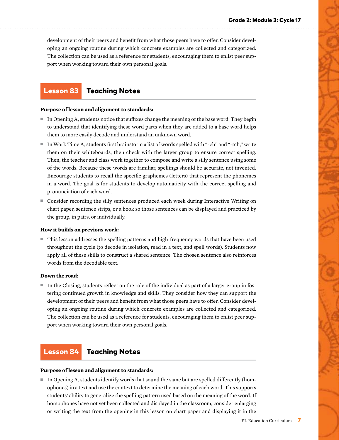development of their peers and benefit from what those peers have to offer. Consider developing an ongoing routine during which concrete examples are collected and categorized. The collection can be used as a reference for students, encouraging them to enlist peer support when working toward their own personal goals.

# Lesson 83 Teaching Notes

#### **Purpose of lesson and alignment to standards:**

- In Opening A, students notice that suffixes change the meaning of the base word. They begin to understand that identifying these word parts when they are added to a base word helps them to more easily decode and understand an unknown word.
- In Work Time A, students first brainstorm a list of words spelled with "-ch" and "-tch," write them on their whiteboards, then check with the larger group to ensure correct spelling. Then, the teacher and class work together to compose and write a silly sentence using some of the words. Because these words are familiar, spellings should be accurate, not invented. Encourage students to recall the specific graphemes (letters) that represent the phonemes in a word. The goal is for students to develop automaticity with the correct spelling and pronunciation of each word.
- Consider recording the silly sentences produced each week during Interactive Writing on chart paper, sentence strips, or a book so those sentences can be displayed and practiced by the group, in pairs, or individually.

#### **How it builds on previous work:**

■ This lesson addresses the spelling patterns and high-frequency words that have been used throughout the cycle (to decode in isolation, read in a text, and spell words). Students now apply all of these skills to construct a shared sentence. The chosen sentence also reinforces words from the decodable text.

#### **Down the road:**

■ In the Closing, students reflect on the role of the individual as part of a larger group in fostering continued growth in knowledge and skills. They consider how they can support the development of their peers and benefit from what those peers have to offer. Consider developing an ongoing routine during which concrete examples are collected and categorized. The collection can be used as a reference for students, encouraging them to enlist peer support when working toward their own personal goals.

# Lesson 84 Teaching Notes

#### **Purpose of lesson and alignment to standards:**

 $\blacksquare$  In Opening A, students identify words that sound the same but are spelled differently (homophones) in a text and use the context to determine the meaning of each word. This supports students' ability to generalize the spelling pattern used based on the meaning of the word. If homophones have not yet been collected and displayed in the classroom, consider enlarging or writing the text from the opening in this lesson on chart paper and displaying it in the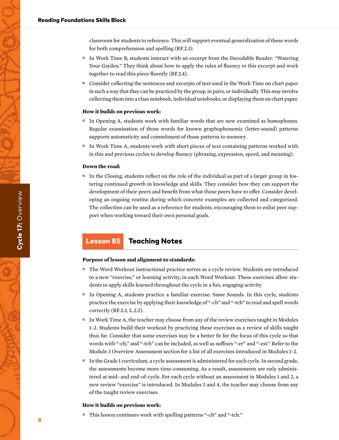classroom for students to reference. This will support eventual generalization of these words for both comprehension and spelling (RF.2.3).

- In Work Time B, students interact with an excerpt from the Decodable Reader: "Watering Your Garden." They think about how to apply the rules of fluency to this excerpt and work together to read this piece fluently (RF.2.4).
- Consider collecting the sentences and excerpts of text used in the Work Time on chart paper in such a way that they can be practiced by the group, in pairs, or individually. This may involve collecting them into a class notebook, individual notebooks, or displaying them on chart paper.

#### **How it builds on previous work:**

- In Opening A, students work with familiar words that are now examined as homophones. Regular examination of those words for known graphophonemic (letter-sound) patterns supports automaticity and commitment of those patterns to memory.
- In Work Time A, students work with short pieces of text containing patterns worked with in this and previous cycles to develop fluency (phrasing, expression, speed, and meaning).

#### **Down the road:**

■ In the Closing, students reflect on the role of the individual as part of a larger group in fostering continued growth in knowledge and skills. They consider how they can support the development of their peers and benefit from what those peers have to offer. Consider developing an ongoing routine during which concrete examples are collected and categorized. The collection can be used as a reference for students, encouraging them to enlist peer support when working toward their own personal goals.

# Lesson 85 Teaching Notes

#### **Purpose of lesson and alignment to standards:**

- The Word Workout instructional practice serves as a cycle review. Students are introduced to a new "exercise," or learning activity, in each Word Workout. These exercises allow students to apply skills learned throughout the cycle in a fun, engaging activity.
- In Opening A, students practice a familiar exercise: Same Sounds. In this cycle, students practice the exercise by applying their knowledge of "-ch" and "-tch" to read and spell words correctly (RF.2.3, L.2.2).
- In Work Time A, the teacher may choose from any of the review exercises taught in Modules 1–2. Students build their workout by practicing these exercises as a review of skills taught thus far. Consider that some exercises may be a better fit for the focus of this cycle so that words with "-ch," and "-tch" can be included, as well as suffixes "-er" and "-est." Refer to the Module 3 Overview Assessment section for a list of all exercises introduced in Modules 1–2.
- In the Grade 1 curriculum, a cycle assessment is administered for each cycle. In second grade, the assessments become more time-consuming. As a result, assessments are only administered at mid- and end-of-cycle. For each cycle without an assessment in Modules 1 and 2, a new review "exercise" is introduced. In Modules 3 and 4, the teacher may choose from any of the taught review exercises.

#### **How it builds on previous work:**

■ This lesson continues work with spelling patterns "-ch" and "-tch."